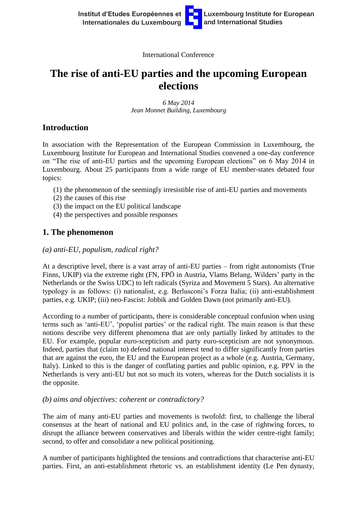International Conference

# **The rise of anti-EU parties and the upcoming European elections**

*6 May 2014 Jean Monnet Building, Luxembourg*

# **Introduction**

In association with the Representation of the European Commission in Luxembourg, the Luxembourg Institute for European and International Studies convened a one-day conference on "The rise of anti-EU parties and the upcoming European elections" on 6 May 2014 in Luxembourg. About 25 participants from a wide range of EU member-states debated four topics:

- (1) the phenomenon of the seemingly irresistible rise of anti-EU parties and movements
- (2) the causes of this rise
- (3) the impact on the EU political landscape
- (4) the perspectives and possible responses

# **1. The phenomenon**

#### *(a) anti-EU, populism, radical right?*

At a descriptive level, there is a vast array of anti-EU parties – from right autonomists (True Finns, UKIP) via the extreme right (FN, FPÖ in Austria, Vlams Belang, Wilders' party in the Netherlands or the Swiss UDC) to left radicals (Syriza and Movement 5 Stars). An alternative typology is as follows: (i) nationalist, e.g. Berlusconi's Forza Italia; (ii) anti-establishment parties, e.g. UKIP; (iii) neo-Fascist: Jobbik and Golden Dawn (not primarily anti-EU).

According to a number of participants, there is considerable conceptual confusion when using terms such as 'anti-EU', 'populist parties' or the radical right. The main reason is that these notions describe very different phenomena that are only partially linked by attitudes to the EU. For example, popular euro-scepticism and party euro-scepticism are not synonymous. Indeed, parties that (claim to) defend national interest tend to differ significantly from parties that are against the euro, the EU and the European project as a whole (e.g. Austria, Germany, Italy). Linked to this is the danger of conflating parties and public opinion, e.g. PPV in the Netherlands is very anti-EU but not so much its voters, whereas for the Dutch socialists it is the opposite.

## *(b) aims and objectives: coherent or contradictory?*

The aim of many anti-EU parties and movements is twofold: first, to challenge the liberal consensus at the heart of national and EU politics and, in the case of rightwing forces, to disrupt the alliance between conservatives and liberals within the wider centre-right family; second, to offer and consolidate a new political positioning.

A number of participants highlighted the tensions and contradictions that characterise anti-EU parties. First, an anti-establishment rhetoric vs. an establishment identity (Le Pen dynasty,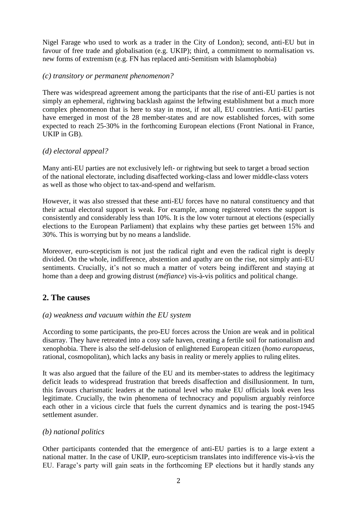Nigel Farage who used to work as a trader in the City of London); second, anti-EU but in favour of free trade and globalisation (e.g. UKIP); third, a commitment to normalisation vs. new forms of extremism (e.g. FN has replaced anti-Semitism with Islamophobia)

#### *(c) transitory or permanent phenomenon?*

There was widespread agreement among the participants that the rise of anti-EU parties is not simply an ephemeral, rightwing backlash against the leftwing establishment but a much more complex phenomenon that is here to stay in most, if not all, EU countries. Anti-EU parties have emerged in most of the 28 member-states and are now established forces, with some expected to reach 25-30% in the forthcoming European elections (Front National in France, UKIP in GB).

#### *(d) electoral appeal?*

Many anti-EU parties are not exclusively left- or rightwing but seek to target a broad section of the national electorate, including disaffected working-class and lower middle-class voters as well as those who object to tax-and-spend and welfarism.

However, it was also stressed that these anti-EU forces have no natural constituency and that their actual electoral support is weak. For example, among registered voters the support is consistently and considerably less than 10%. It is the low voter turnout at elections (especially elections to the European Parliament) that explains why these parties get between 15% and 30%. This is worrying but by no means a landslide.

Moreover, euro-scepticism is not just the radical right and even the radical right is deeply divided. On the whole, indifference, abstention and apathy are on the rise, not simply anti-EU sentiments. Crucially, it's not so much a matter of voters being indifferent and staying at home than a deep and growing distrust (*méfiance*) vis-à-vis politics and political change.

## **2. The causes**

#### *(a) weakness and vacuum within the EU system*

According to some participants, the pro-EU forces across the Union are weak and in political disarray. They have retreated into a cosy safe haven, creating a fertile soil for nationalism and xenophobia. There is also the self-delusion of enlightened European citizen (*homo europaeus*, rational, cosmopolitan), which lacks any basis in reality or merely applies to ruling elites.

It was also argued that the failure of the EU and its member-states to address the legitimacy deficit leads to widespread frustration that breeds disaffection and disillusionment. In turn, this favours charismatic leaders at the national level who make EU officials look even less legitimate. Crucially, the twin phenomena of technocracy and populism arguably reinforce each other in a vicious circle that fuels the current dynamics and is tearing the post-1945 settlement asunder.

#### *(b) national politics*

Other participants contended that the emergence of anti-EU parties is to a large extent a national matter. In the case of UKIP, euro-scepticism translates into indifference vis-à-vis the EU. Farage's party will gain seats in the forthcoming EP elections but it hardly stands any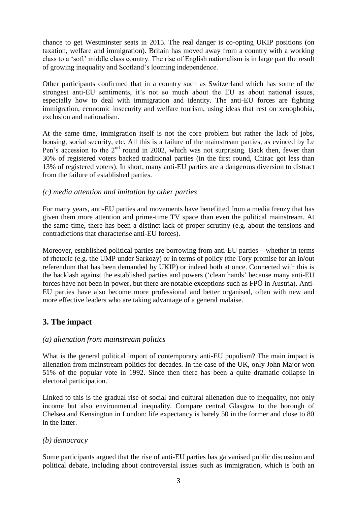chance to get Westminster seats in 2015. The real danger is co-opting UKIP positions (on taxation, welfare and immigration). Britain has moved away from a country with a working class to a 'soft' middle class country. The rise of English nationalism is in large part the result of growing inequality and Scotland's looming independence.

Other participants confirmed that in a country such as Switzerland which has some of the strongest anti-EU sentiments, it's not so much about the EU as about national issues, especially how to deal with immigration and identity. The anti-EU forces are fighting immigration, economic insecurity and welfare tourism, using ideas that rest on xenophobia, exclusion and nationalism.

At the same time, immigration itself is not the core problem but rather the lack of jobs, housing, social security, etc. All this is a failure of the mainstream parties, as evinced by Le Pen's accession to the  $2<sup>nd</sup>$  round in 2002, which was not surprising. Back then, fewer than 30% of registered voters backed traditional parties (in the first round, Chirac got less than 13% of registered voters). In short, many anti-EU parties are a dangerous diversion to distract from the failure of established parties.

#### *(c) media attention and imitation by other parties*

For many years, anti-EU parties and movements have benefitted from a media frenzy that has given them more attention and prime-time TV space than even the political mainstream. At the same time, there has been a distinct lack of proper scrutiny (e.g. about the tensions and contradictions that characterise anti-EU forces).

Moreover, established political parties are borrowing from anti-EU parties – whether in terms of rhetoric (e.g. the UMP under Sarkozy) or in terms of policy (the Tory promise for an in/out referendum that has been demanded by UKIP) or indeed both at once. Connected with this is the backlash against the established parties and powers ('clean hands' because many anti-EU forces have not been in power, but there are notable exceptions such as FPÖ in Austria). Anti-EU parties have also become more professional and better organised, often with new and more effective leaders who are taking advantage of a general malaise.

# **3. The impact**

#### *(a) alienation from mainstream politics*

What is the general political import of contemporary anti-EU populism? The main impact is alienation from mainstream politics for decades. In the case of the UK, only John Major won 51% of the popular vote in 1992. Since then there has been a quite dramatic collapse in electoral participation.

Linked to this is the gradual rise of social and cultural alienation due to inequality, not only income but also environmental inequality. Compare central Glasgow to the borough of Chelsea and Kensington in London: life expectancy is barely 50 in the former and close to 80 in the latter.

## *(b) democracy*

Some participants argued that the rise of anti-EU parties has galvanised public discussion and political debate, including about controversial issues such as immigration, which is both an